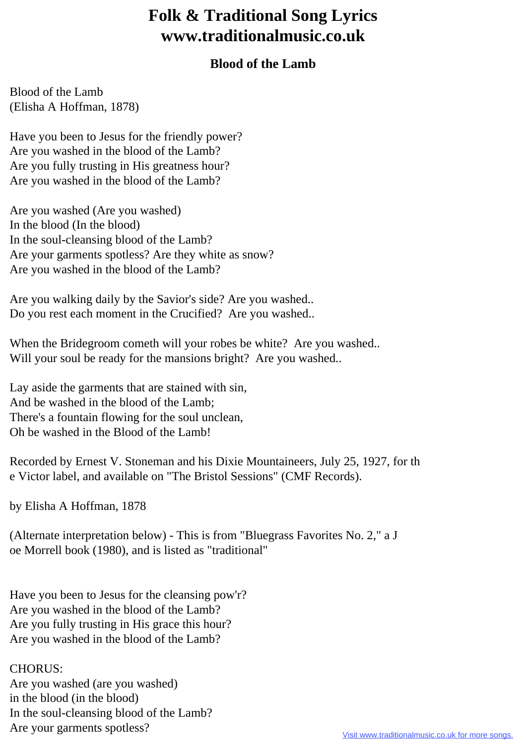## **Folk & Traditional Song Lyrics www.traditionalmusic.co.uk**

## **Blood of the Lamb**

Blood of the Lamb (Elisha A Hoffman, 1878)

Have you been to Jesus for the friendly power? Are you washed in the blood of the Lamb? Are you fully trusting in His greatness hour? Are you washed in the blood of the Lamb?

Are you washed (Are you washed) In the blood (In the blood) In the soul-cleansing blood of the Lamb? Are your garments spotless? Are they white as snow? Are you washed in the blood of the Lamb?

Are you walking daily by the Savior's side? Are you washed.. Do you rest each moment in the Crucified? Are you washed..

When the Bridegroom cometh will your robes be white? Are you washed.. Will your soul be ready for the mansions bright? Are you washed...

Lay aside the garments that are stained with sin, And be washed in the blood of the Lamb; There's a fountain flowing for the soul unclean, Oh be washed in the Blood of the Lamb!

Recorded by Ernest V. Stoneman and his Dixie Mountaineers, July 25, 1927, for th e Victor label, and available on "The Bristol Sessions" (CMF Records).

by Elisha A Hoffman, 1878

(Alternate interpretation below) - This is from "Bluegrass Favorites No. 2," a J oe Morrell book (1980), and is listed as "traditional"

Have you been to Jesus for the cleansing pow'r? Are you washed in the blood of the Lamb? Are you fully trusting in His grace this hour? Are you washed in the blood of the Lamb?

## CHORUS:

Are you washed (are you washed) in the blood (in the blood) In the soul-cleansing blood of the Lamb? Are your garments spotless?